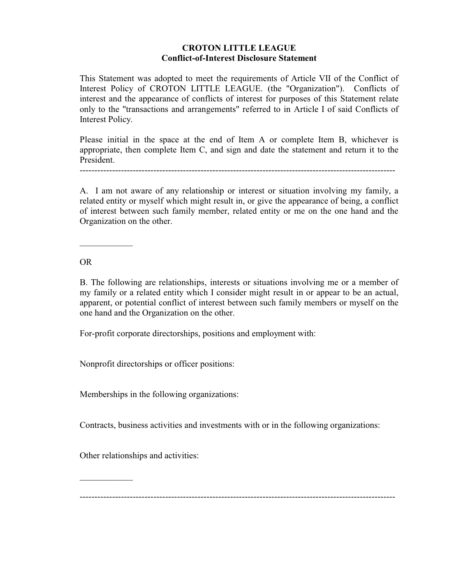## **CROTON LITTLE LEAGUE Conflict-of-Interest Disclosure Statement**

This Statement was adopted to meet the requirements of Article VII of the Conflict of Interest Policy of CROTON LITTLE LEAGUE. (the "Organization"). Conflicts of interest and the appearance of conflicts of interest for purposes of this Statement relate only to the "transactions and arrangements" referred to in Article I of said Conflicts of Interest Policy.

Please initial in the space at the end of Item A or complete Item B, whichever is appropriate, then complete Item C, and sign and date the statement and return it to the President.

-----------------------------------------------------------------------------------------------------------

A. I am not aware of any relationship or interest or situation involving my family, a related entity or myself which might result in, or give the appearance of being, a conflict of interest between such family member, related entity or me on the one hand and the Organization on the other.

OR

 $\mathcal{L}_\text{max}$ 

B. The following are relationships, interests or situations involving me or a member of my family or a related entity which I consider might result in or appear to be an actual, apparent, or potential conflict of interest between such family members or myself on the one hand and the Organization on the other.

For-profit corporate directorships, positions and employment with:

Nonprofit directorships or officer positions:

Memberships in the following organizations:

Contracts, business activities and investments with or in the following organizations:

Other relationships and activities:

 $\mathcal{L}_\text{max}$ 

-----------------------------------------------------------------------------------------------------------